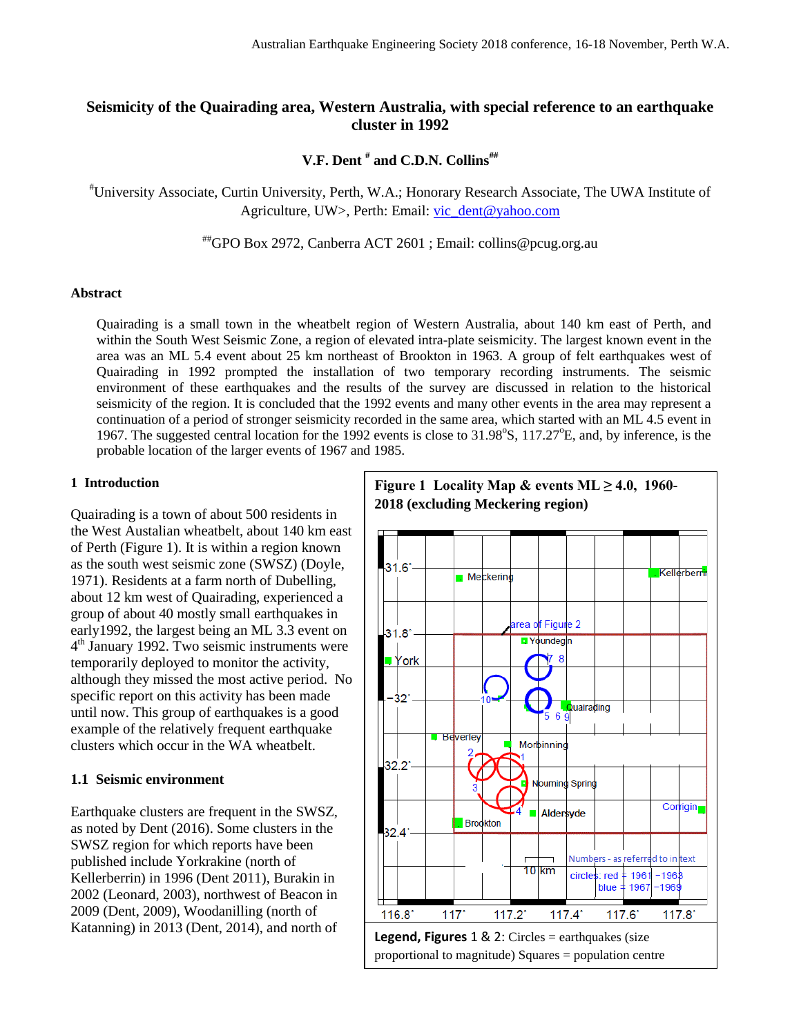## **Seismicity of the Quairading area, Western Australia, with special reference to an earthquake cluster in 1992**

**V.F. Dent # and C.D.N. Collins##**

#University Associate, Curtin University, Perth, W.A.; Honorary Research Associate, The UWA Institute of Agriculture, UW>, Perth: Email: [vic\\_dent@yahoo.com](mailto:vic_dent@yahoo.com)

##GPO Box 2972, Canberra ACT 2601 ; Email: collins@pcug.org.au

#### **Abstract**

Quairading is a small town in the wheatbelt region of Western Australia, about 140 km east of Perth, and within the South West Seismic Zone, a region of elevated intra-plate seismicity. The largest known event in the area was an ML 5.4 event about 25 km northeast of Brookton in 1963. A group of felt earthquakes west of Quairading in 1992 prompted the installation of two temporary recording instruments. The seismic environment of these earthquakes and the results of the survey are discussed in relation to the historical seismicity of the region. It is concluded that the 1992 events and many other events in the area may represent a continuation of a period of stronger seismicity recorded in the same area, which started with an ML 4.5 event in 1967. The suggested central location for the 1992 events is close to 31.98°S, 117.27°E, and, by inference, is the probable location of the larger events of 1967 and 1985.

#### **1 Introduction**

Quairading is a town of about 500 residents in the West Austalian wheatbelt, about 140 km east of Perth (Figure 1). It is within a region known as the south west seismic zone (SWSZ) (Doyle, 1971). Residents at a farm north of Dubelling, about 12 km west of Quairading, experienced a group of about 40 mostly small earthquakes in early1992, the largest being an ML 3.3 event on 4<sup>th</sup> January 1992. Two seismic instruments were temporarily deployed to monitor the activity, although they missed the most active period. No specific report on this activity has been made until now. This group of earthquakes is a good example of the relatively frequent earthquake clusters which occur in the WA wheatbelt.

#### **1.1 Seismic environment**

Earthquake clusters are frequent in the SWSZ, as noted by Dent (2016). Some clusters in the SWSZ region for which reports have been published include Yorkrakine (north of Kellerberrin) in 1996 (Dent 2011), Burakin in 2002 (Leonard, 2003), northwest of Beacon in 2009 (Dent, 2009), Woodanilling (north of Katanning) in 2013 (Dent, 2014), and north of

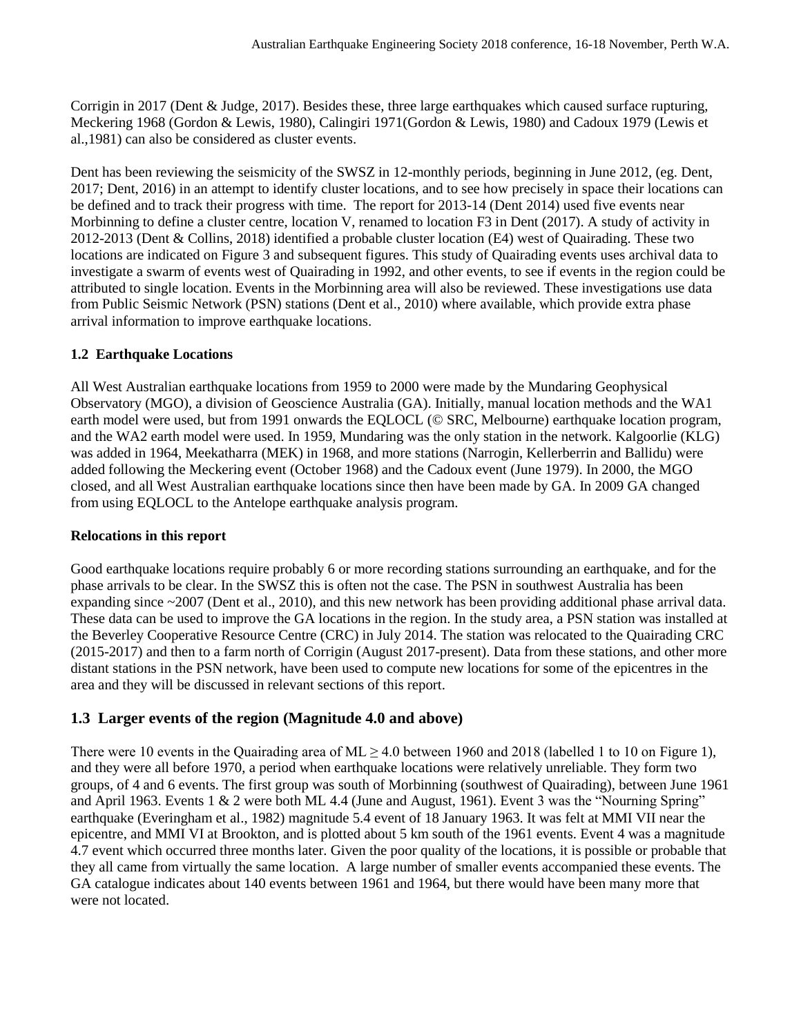Corrigin in 2017 (Dent & Judge, 2017). Besides these, three large earthquakes which caused surface rupturing, Meckering 1968 (Gordon & Lewis, 1980), Calingiri 1971(Gordon & Lewis, 1980) and Cadoux 1979 (Lewis et al.,1981) can also be considered as cluster events.

Dent has been reviewing the seismicity of the SWSZ in 12-monthly periods, beginning in June 2012, (eg. Dent, 2017; Dent, 2016) in an attempt to identify cluster locations, and to see how precisely in space their locations can be defined and to track their progress with time. The report for 2013-14 (Dent 2014) used five events near Morbinning to define a cluster centre, location V, renamed to location F3 in Dent (2017). A study of activity in 2012-2013 (Dent & Collins, 2018) identified a probable cluster location (E4) west of Quairading. These two locations are indicated on Figure 3 and subsequent figures. This study of Quairading events uses archival data to investigate a swarm of events west of Quairading in 1992, and other events, to see if events in the region could be attributed to single location. Events in the Morbinning area will also be reviewed. These investigations use data from Public Seismic Network (PSN) stations (Dent et al., 2010) where available, which provide extra phase arrival information to improve earthquake locations.

### **1.2 Earthquake Locations**

All West Australian earthquake locations from 1959 to 2000 were made by the Mundaring Geophysical Observatory (MGO), a division of Geoscience Australia (GA). Initially, manual location methods and the WA1 earth model were used, but from 1991 onwards the EQLOCL (© SRC, Melbourne) earthquake location program, and the WA2 earth model were used. In 1959, Mundaring was the only station in the network. Kalgoorlie (KLG) was added in 1964, Meekatharra (MEK) in 1968, and more stations (Narrogin, Kellerberrin and Ballidu) were added following the Meckering event (October 1968) and the Cadoux event (June 1979). In 2000, the MGO closed, and all West Australian earthquake locations since then have been made by GA. In 2009 GA changed from using EQLOCL to the Antelope earthquake analysis program.

### **Relocations in this report**

Good earthquake locations require probably 6 or more recording stations surrounding an earthquake, and for the phase arrivals to be clear. In the SWSZ this is often not the case. The PSN in southwest Australia has been expanding since ~2007 (Dent et al., 2010), and this new network has been providing additional phase arrival data. These data can be used to improve the GA locations in the region. In the study area, a PSN station was installed at the Beverley Cooperative Resource Centre (CRC) in July 2014. The station was relocated to the Quairading CRC (2015-2017) and then to a farm north of Corrigin (August 2017-present). Data from these stations, and other more distant stations in the PSN network, have been used to compute new locations for some of the epicentres in the area and they will be discussed in relevant sections of this report.

## **1.3 Larger events of the region (Magnitude 4.0 and above)**

There were 10 events in the Quairading area of ML  $> 4.0$  between 1960 and 2018 (labelled 1 to 10 on Figure 1), and they were all before 1970, a period when earthquake locations were relatively unreliable. They form two groups, of 4 and 6 events. The first group was south of Morbinning (southwest of Quairading), between June 1961 and April 1963. Events 1 & 2 were both ML 4.4 (June and August, 1961). Event 3 was the "Nourning Spring" earthquake (Everingham et al., 1982) magnitude 5.4 event of 18 January 1963. It was felt at MMI VII near the epicentre, and MMI VI at Brookton, and is plotted about 5 km south of the 1961 events. Event 4 was a magnitude 4.7 event which occurred three months later. Given the poor quality of the locations, it is possible or probable that they all came from virtually the same location. A large number of smaller events accompanied these events. The GA catalogue indicates about 140 events between 1961 and 1964, but there would have been many more that were not located.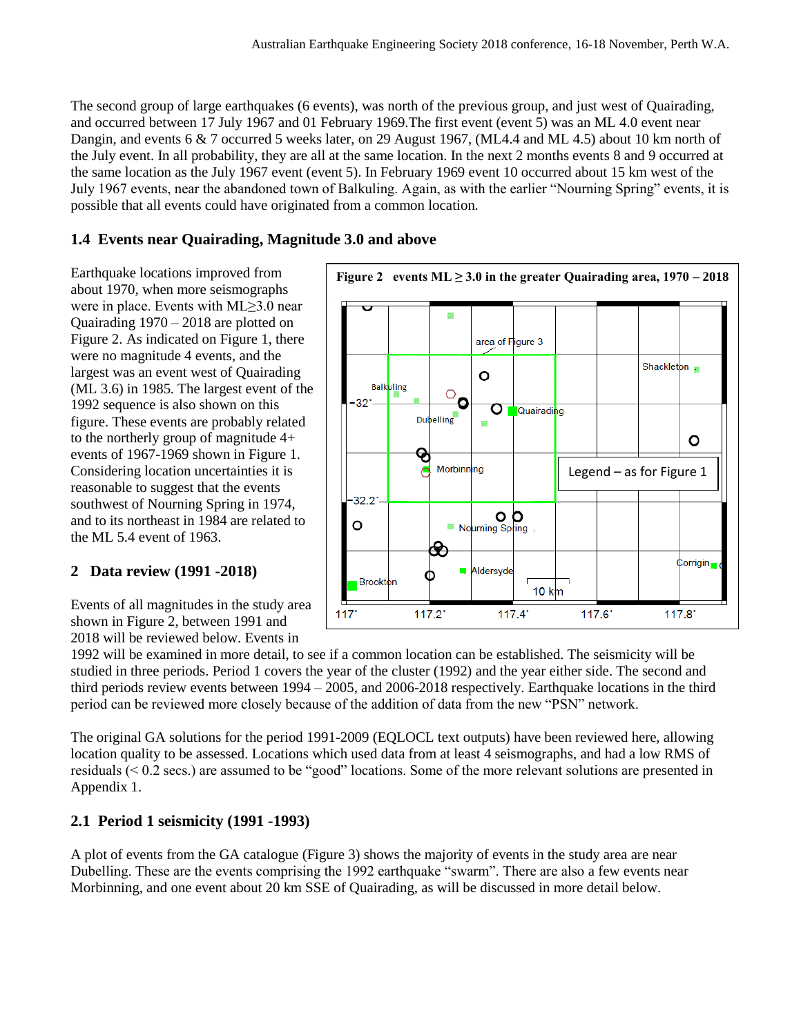The second group of large earthquakes (6 events), was north of the previous group, and just west of Quairading, and occurred between 17 July 1967 and 01 February 1969.The first event (event 5) was an ML 4.0 event near Dangin, and events 6 & 7 occurred 5 weeks later, on 29 August 1967, (ML4.4 and ML 4.5) about 10 km north of the July event. In all probability, they are all at the same location. In the next 2 months events 8 and 9 occurred at the same location as the July 1967 event (event 5). In February 1969 event 10 occurred about 15 km west of the July 1967 events, near the abandoned town of Balkuling. Again, as with the earlier "Nourning Spring" events, it is possible that all events could have originated from a common location.

## **1.4 Events near Quairading, Magnitude 3.0 and above**

Earthquake locations improved from about 1970, when more seismographs were in place. Events with ML≥3.0 near Quairading 1970 – 2018 are plotted on Figure 2. As indicated on Figure 1, there were no magnitude 4 events, and the largest was an event west of Quairading (ML 3.6) in 1985. The largest event of the 1992 sequence is also shown on this figure. These events are probably related to the northerly group of magnitude 4+ events of 1967-1969 shown in Figure 1. Considering location uncertainties it is reasonable to suggest that the events southwest of Nourning Spring in 1974, and to its northeast in 1984 are related to the ML 5.4 event of 1963.

## **2 Data review (1991 -2018)**

Events of all magnitudes in the study area shown in Figure 2, between 1991 and 2018 will be reviewed below. Events in



1992 will be examined in more detail, to see if a common location can be established. The seismicity will be studied in three periods. Period 1 covers the year of the cluster (1992) and the year either side. The second and third periods review events between 1994 – 2005, and 2006-2018 respectively. Earthquake locations in the third period can be reviewed more closely because of the addition of data from the new "PSN" network.

The original GA solutions for the period 1991-2009 (EQLOCL text outputs) have been reviewed here, allowing location quality to be assessed. Locations which used data from at least 4 seismographs, and had a low RMS of residuals (< 0.2 secs.) are assumed to be "good" locations. Some of the more relevant solutions are presented in Appendix 1.

## **2.1 Period 1 seismicity (1991 -1993)**

A plot of events from the GA catalogue (Figure 3) shows the majority of events in the study area are near Dubelling. These are the events comprising the 1992 earthquake "swarm". There are also a few events near Morbinning, and one event about 20 km SSE of Quairading, as will be discussed in more detail below.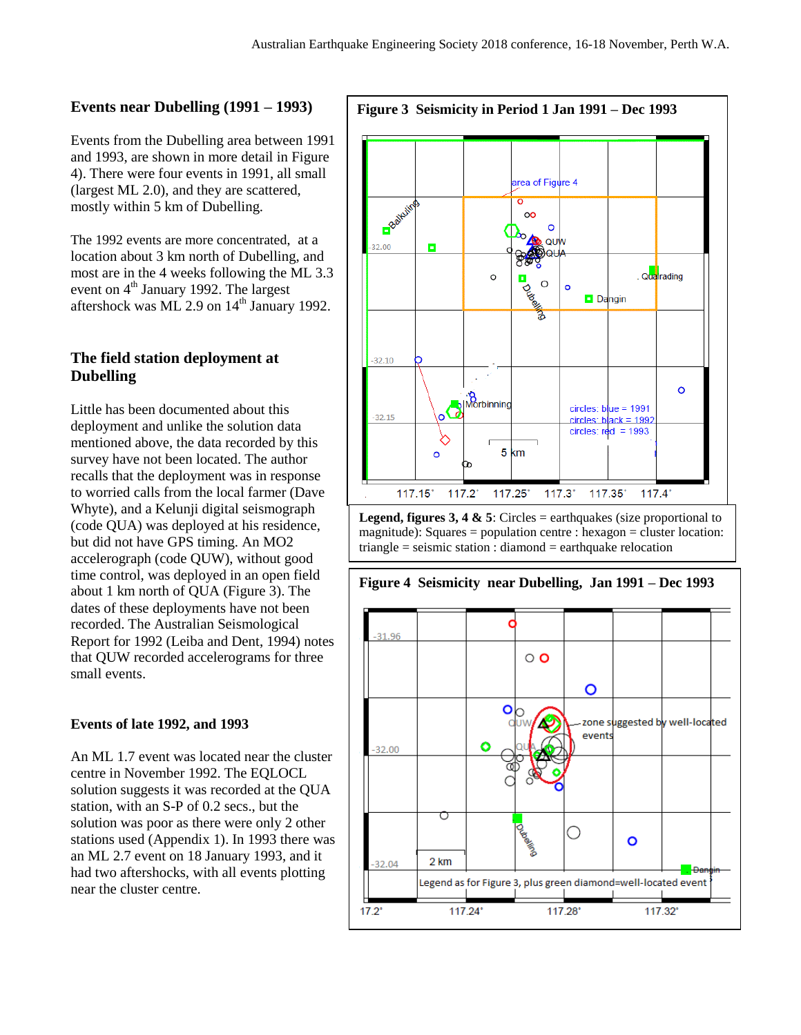#### **Events near Dubelling (1991 – 1993)**

Events from the Dubelling area between 1991 and 1993, are shown in more detail in Figure 4). There were four events in 1991, all small (largest ML 2.0), and they are scattered, mostly within 5 km of Dubelling.

The 1992 events are more concentrated, at a location about 3 km north of Dubelling, and most are in the 4 weeks following the ML 3.3 event on 4<sup>th</sup> January 1992. The largest aftershock was ML 2.9 on 14<sup>th</sup> January 1992.

### **The field station deployment at Dubelling**

Little has been documented about this deployment and unlike the solution data mentioned above, the data recorded by this survey have not been located. The author recalls that the deployment was in response to worried calls from the local farmer (Dave Whyte), and a Kelunji digital seismograph (code QUA) was deployed at his residence, but did not have GPS timing. An MO2 accelerograph (code QUW), without good time control, was deployed in an open field about 1 km north of QUA (Figure 3). The dates of these deployments have not been recorded. The Australian Seismological Report for 1992 (Leiba and Dent, 1994) notes that QUW recorded accelerograms for three small events.

#### **Events of late 1992, and 1993**

An ML 1.7 event was located near the cluster centre in November 1992. The EQLOCL solution suggests it was recorded at the QUA station, with an S-P of 0.2 secs., but the solution was poor as there were only 2 other stations used (Appendix 1). In 1993 there was an ML 2.7 event on 18 January 1993, and it had two aftershocks, with all events plotting near the cluster centre.



**Legend, figures 3, 4 & 5**: Circles = earthquakes (size proportional to magnitude): Squares = population centre : hexagon = cluster location: triangle = seismic station : diamond = earthquake relocation

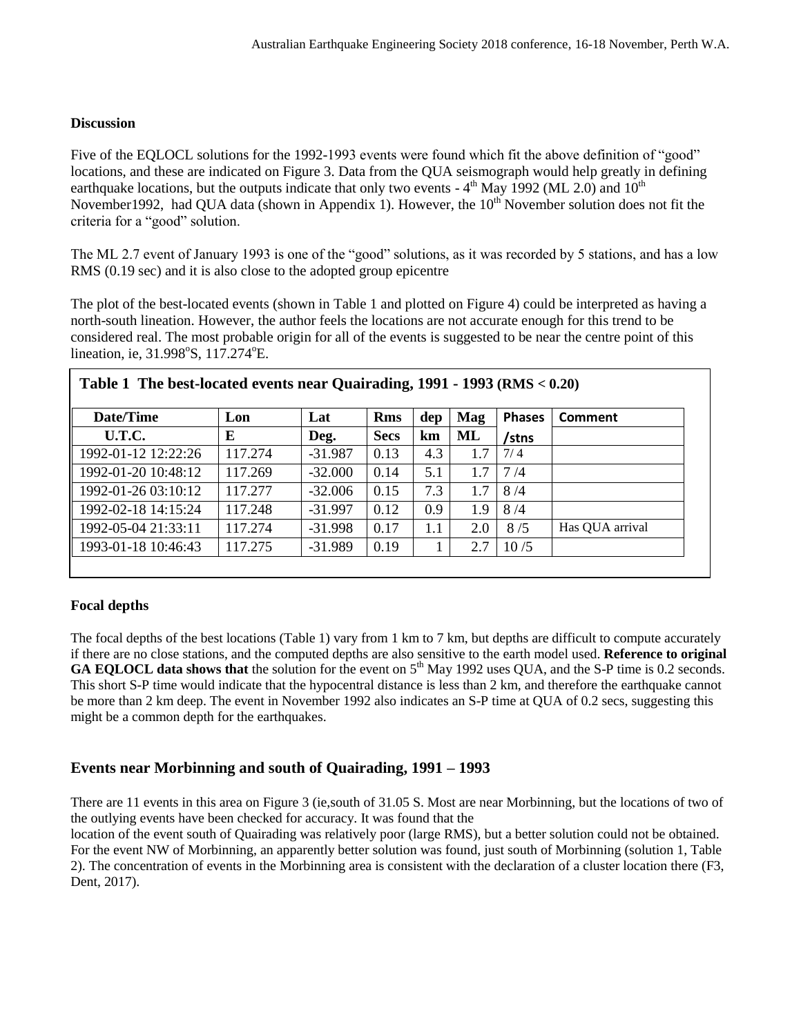### **Discussion**

Five of the EQLOCL solutions for the 1992-1993 events were found which fit the above definition of "good" locations, and these are indicated on Figure 3. Data from the QUA seismograph would help greatly in defining earthquake locations, but the outputs indicate that only two events -  $4^{\text{th}}$  May 1992 (ML 2.0) and 10<sup>th</sup> November 1992, had OUA data (shown in Appendix 1). However, the  $10^{th}$  November solution does not fit the criteria for a "good" solution.

The ML 2.7 event of January 1993 is one of the "good" solutions, as it was recorded by 5 stations, and has a low RMS (0.19 sec) and it is also close to the adopted group epicentre

The plot of the best-located events (shown in Table 1 and plotted on Figure 4) could be interpreted as having a north-south lineation. However, the author feels the locations are not accurate enough for this trend to be considered real. The most probable origin for all of the events is suggested to be near the centre point of this lineation, ie, 31.998°S, 117.274°E.

| Date/Time           | Lon     | Lat       | <b>Rms</b>  | dep | Mag | <b>Phases</b> | Comment         |
|---------------------|---------|-----------|-------------|-----|-----|---------------|-----------------|
| U.T.C.              | E       | Deg.      | <b>Secs</b> | km  | ML  | /stns         |                 |
| 1992-01-12 12:22:26 | 117.274 | $-31.987$ | 0.13        | 4.3 | 1.7 | 7/4           |                 |
| 1992-01-20 10:48:12 | 117.269 | $-32.000$ | 0.14        | 5.1 | 1.7 | 7/4           |                 |
| 1992-01-26 03:10:12 | 117.277 | $-32.006$ | 0.15        | 7.3 | 1.7 | 8/4           |                 |
| 1992-02-18 14:15:24 | 117.248 | $-31.997$ | 0.12        | 0.9 | 1.9 | 8/4           |                 |
| 1992-05-04 21:33:11 | 117.274 | $-31.998$ | 0.17        | 1.1 | 2.0 | 8/5           | Has QUA arrival |
| 1993-01-18 10:46:43 | 117.275 | $-31.989$ | 0.19        |     | 2.7 | 10/5          |                 |

### **Focal depths**

The focal depths of the best locations (Table 1) vary from 1 km to 7 km, but depths are difficult to compute accurately if there are no close stations, and the computed depths are also sensitive to the earth model used. **Reference to original GA EQLOCL data shows that** the solution for the event on 5<sup>th</sup> May 1992 uses QUA, and the S-P time is 0.2 seconds. This short S-P time would indicate that the hypocentral distance is less than 2 km, and therefore the earthquake cannot be more than 2 km deep. The event in November 1992 also indicates an S-P time at QUA of 0.2 secs, suggesting this might be a common depth for the earthquakes.

## **Events near Morbinning and south of Quairading, 1991 – 1993**

There are 11 events in this area on Figure 3 (ie,south of 31.05 S. Most are near Morbinning, but the locations of two of the outlying events have been checked for accuracy. It was found that the

location of the event south of Quairading was relatively poor (large RMS), but a better solution could not be obtained. For the event NW of Morbinning, an apparently better solution was found, just south of Morbinning (solution 1, Table 2). The concentration of events in the Morbinning area is consistent with the declaration of a cluster location there (F3, Dent, 2017).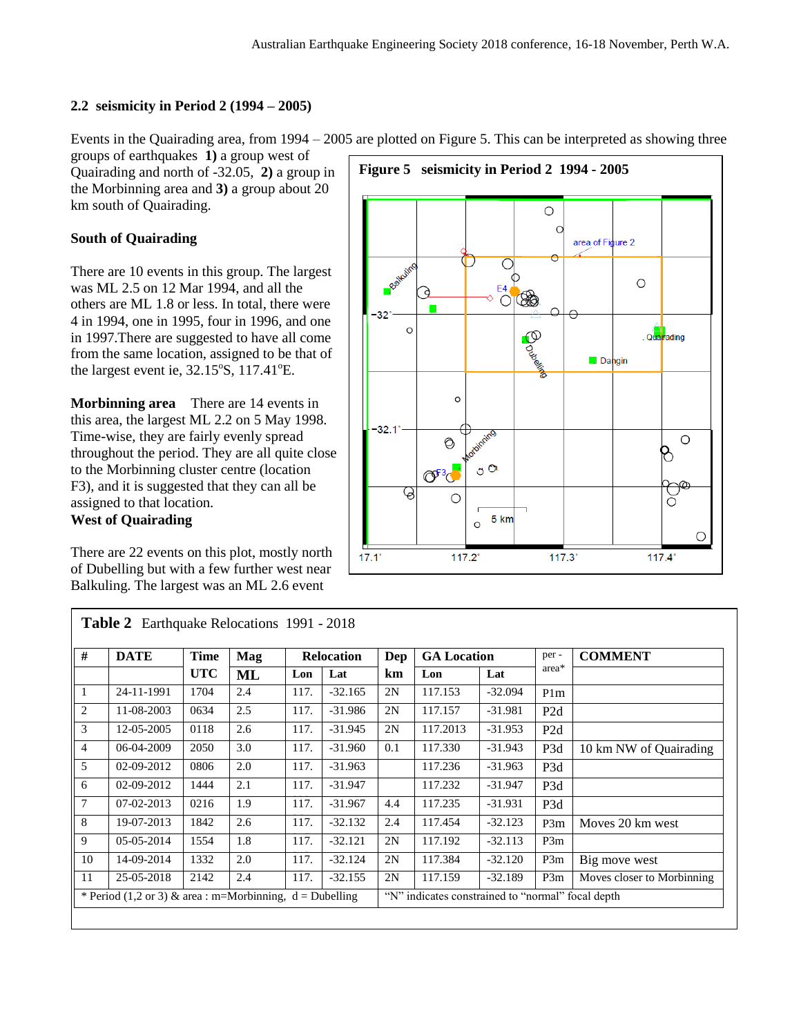### **2.2 seismicity in Period 2 (1994 – 2005)**

Events in the Quairading area, from 1994 – 2005 are plotted on Figure 5. This can be interpreted as showing three

groups of earthquakes **1)** a group west of Quairading and north of -32.05, **2)** a group in the Morbinning area and **3)** a group about 20 km south of Quairading.

### **South of Quairading**

There are 10 events in this group. The largest was ML 2.5 on 12 Mar 1994, and all the others are ML 1.8 or less. In total, there were 4 in 1994, one in 1995, four in 1996, and one in 1997.There are suggested to have all come from the same location, assigned to be that of the largest event ie,  $32.15^{\circ}$ S,  $117.41^{\circ}$ E.

**Morbinning area** There are 14 events in this area, the largest ML 2.2 on 5 May 1998. Time-wise, they are fairly evenly spread throughout the period. They are all quite close to the Morbinning cluster centre (location F3), and it is suggested that they can all be assigned to that location. **West of Quairading**

There are 22 events on this plot, mostly north of Dubelling but with a few further west near Balkuling. The largest was an ML 2.6 event



| #              | <b>DATE</b>                                                | <b>Time</b> | <b>Mag</b> |      | <b>Relocation</b> | Dep | <b>GA Location</b>                                |           | per -            | <b>COMMENT</b>             |
|----------------|------------------------------------------------------------|-------------|------------|------|-------------------|-----|---------------------------------------------------|-----------|------------------|----------------------------|
|                |                                                            | <b>UTC</b>  | <b>ML</b>  | Lon  | Lat               | km  | Lon                                               | Lat       | area*            |                            |
|                | 24-11-1991                                                 | 1704        | 2.4        | 117. | $-32.165$         | 2N  | 117.153                                           | $-32.094$ | P <sub>1</sub> m |                            |
| $\overline{2}$ | 11-08-2003                                                 | 0634        | 2.5        | 117. | $-31.986$         | 2N  | 117.157                                           | $-31.981$ | P <sub>2</sub> d |                            |
| 3              | 12-05-2005                                                 | 0118        | 2.6        | 117. | $-31.945$         | 2N  | 117.2013                                          | $-31.953$ | P <sub>2d</sub>  |                            |
| 4              | 06-04-2009                                                 | 2050        | 3.0        | 117. | $-31.960$         | 0.1 | 117.330                                           | $-31.943$ | P3d              | 10 km NW of Quairading     |
| 5              | 02-09-2012                                                 | 0806        | 2.0        | 117. | $-31.963$         |     | 117.236                                           | $-31.963$ | P <sub>3</sub> d |                            |
| 6              | 02-09-2012                                                 | 1444        | 2.1        | 117. | $-31.947$         |     | 117.232                                           | $-31.947$ | P3d              |                            |
| 7              | 07-02-2013                                                 | 0216        | 1.9        | 117. | $-31.967$         | 4.4 | 117.235                                           | $-31.931$ | P3d              |                            |
| 8              | 19-07-2013                                                 | 1842        | 2.6        | 117. | $-32.132$         | 2.4 | 117.454                                           | $-32.123$ | P3m              | Moves 20 km west           |
| 9              | 05-05-2014                                                 | 1554        | 1.8        | 117. | $-32.121$         | 2N  | 117.192                                           | $-32.113$ | P3m              |                            |
| 10             | 14-09-2014                                                 | 1332        | 2.0        | 117. | $-32.124$         | 2N  | 117.384                                           | $-32.120$ | P3m              | Big move west              |
| 11             | 25-05-2018                                                 | 2142        | 2.4        | 117. | $-32.155$         | 2N  | 117.159                                           | $-32.189$ | P3m              | Moves closer to Morbinning |
|                | * Period (1,2 or 3) & area : m=Morbinning, $d =$ Dubelling |             |            |      |                   |     | "N" indicates constrained to "normal" focal depth |           |                  |                            |

**Table 2** Earthquake Relocations 1991 - 2018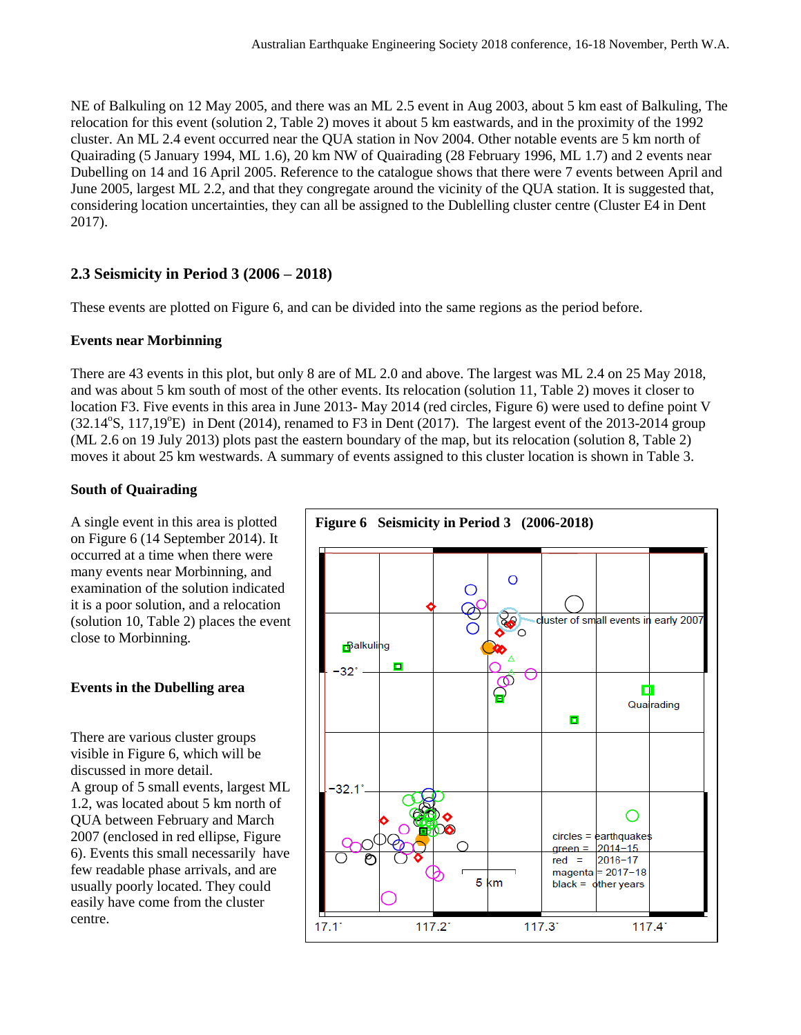NE of Balkuling on 12 May 2005, and there was an ML 2.5 event in Aug 2003, about 5 km east of Balkuling, The relocation for this event (solution 2, Table 2) moves it about 5 km eastwards, and in the proximity of the 1992 cluster. An ML 2.4 event occurred near the QUA station in Nov 2004. Other notable events are 5 km north of Quairading (5 January 1994, ML 1.6), 20 km NW of Quairading (28 February 1996, ML 1.7) and 2 events near Dubelling on 14 and 16 April 2005. Reference to the catalogue shows that there were 7 events between April and June 2005, largest ML 2.2, and that they congregate around the vicinity of the QUA station. It is suggested that, considering location uncertainties, they can all be assigned to the Dublelling cluster centre (Cluster E4 in Dent 2017).

## **2.3 Seismicity in Period 3 (2006 – 2018)**

These events are plotted on Figure 6, and can be divided into the same regions as the period before.

### **Events near Morbinning**

There are 43 events in this plot, but only 8 are of ML 2.0 and above. The largest was ML 2.4 on 25 May 2018, and was about 5 km south of most of the other events. Its relocation (solution 11, Table 2) moves it closer to location F3. Five events in this area in June 2013- May 2014 (red circles, Figure 6) were used to define point V  $(32.14^{\circ}S, 117,19^{\circ}E)$  in Dent (2014), renamed to F3 in Dent (2017). The largest event of the 2013-2014 group (ML 2.6 on 19 July 2013) plots past the eastern boundary of the map, but its relocation (solution 8, Table 2) moves it about 25 km westwards. A summary of events assigned to this cluster location is shown in Table 3.

### **South of Quairading**

A single event in this area is plotted on Figure 6 (14 September 2014). It occurred at a time when there were many events near Morbinning, and examination of the solution indicated it is a poor solution, and a relocation (solution 10, Table 2) places the event close to Morbinning.

### **Events in the Dubelling area**

There are various cluster groups visible in Figure 6, which will be discussed in more detail. A group of 5 small events, largest ML 1.2, was located about 5 km north of QUA between February and March 2007 (enclosed in red ellipse, Figure 6). Events this small necessarily have few readable phase arrivals, and are usually poorly located. They could easily have come from the cluster centre.

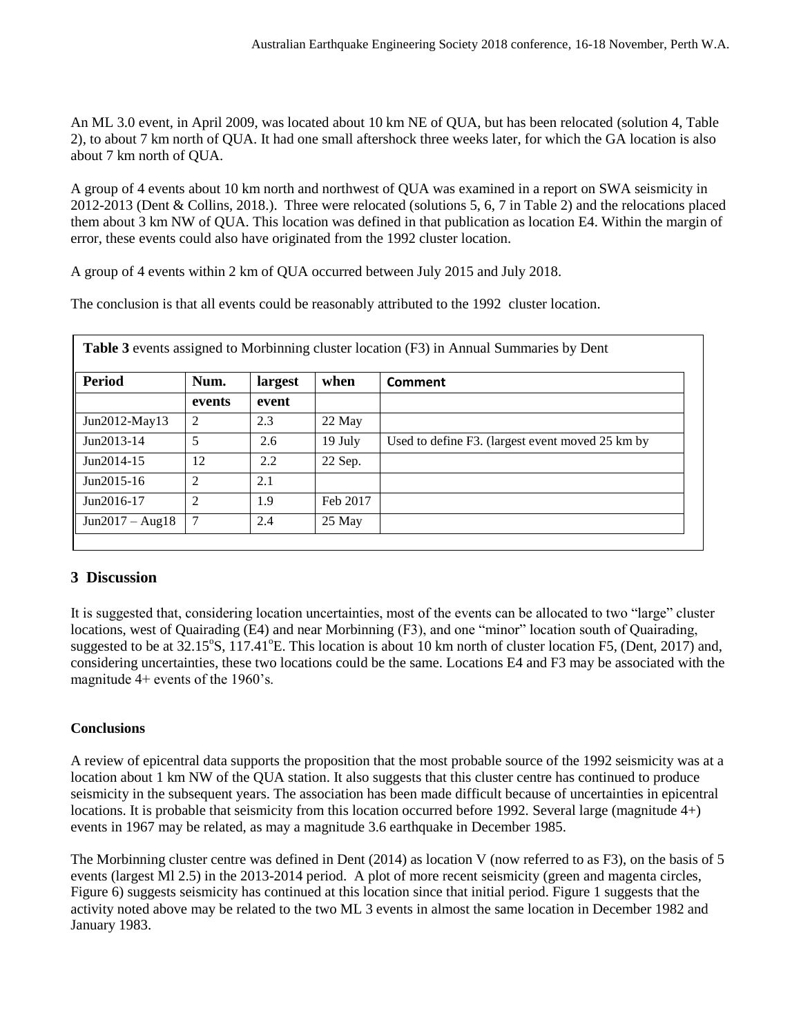An ML 3.0 event, in April 2009, was located about 10 km NE of QUA, but has been relocated (solution 4, Table 2), to about 7 km north of QUA. It had one small aftershock three weeks later, for which the GA location is also about 7 km north of QUA.

A group of 4 events about 10 km north and northwest of QUA was examined in a report on SWA seismicity in 2012-2013 (Dent & Collins, 2018.). Three were relocated (solutions 5, 6, 7 in Table 2) and the relocations placed them about 3 km NW of QUA. This location was defined in that publication as location E4. Within the margin of error, these events could also have originated from the 1992 cluster location.

A group of 4 events within 2 km of QUA occurred between July 2015 and July 2018.

The conclusion is that all events could be reasonably attributed to the 1992 cluster location.

| <b>Period</b>     | Num.                        | largest | when     | Comment                                          |
|-------------------|-----------------------------|---------|----------|--------------------------------------------------|
|                   | events                      | event   |          |                                                  |
| Jun2012-May13     | 2                           | 2.3     | 22 May   |                                                  |
| Jun2013-14        | 5                           | 2.6     | 19 July  | Used to define F3. (largest event moved 25 km by |
| Jun2014-15        | 12                          | 2.2     | 22 Sep.  |                                                  |
| $Jun2015-16$      | $\mathfrak{D}$              | 2.1     |          |                                                  |
| Jun2016-17        | $\mathcal{D}_{\mathcal{L}}$ | 1.9     | Feb 2017 |                                                  |
| $Jun2017 - Aug18$ | 7                           | 2.4     | 25 May   |                                                  |

## **3 Discussion**

It is suggested that, considering location uncertainties, most of the events can be allocated to two "large" cluster locations, west of Quairading (E4) and near Morbinning (F3), and one "minor" location south of Quairading, suggested to be at  $32.15^{\circ}$ S,  $117.41^{\circ}$ E. This location is about 10 km north of cluster location F5, (Dent, 2017) and, considering uncertainties, these two locations could be the same. Locations E4 and F3 may be associated with the magnitude 4+ events of the 1960's.

### **Conclusions**

A review of epicentral data supports the proposition that the most probable source of the 1992 seismicity was at a location about 1 km NW of the QUA station. It also suggests that this cluster centre has continued to produce seismicity in the subsequent years. The association has been made difficult because of uncertainties in epicentral locations. It is probable that seismicity from this location occurred before 1992. Several large (magnitude 4+) events in 1967 may be related, as may a magnitude 3.6 earthquake in December 1985.

The Morbinning cluster centre was defined in Dent (2014) as location V (now referred to as F3), on the basis of 5 events (largest Ml 2.5) in the 2013-2014 period. A plot of more recent seismicity (green and magenta circles, Figure 6) suggests seismicity has continued at this location since that initial period. Figure 1 suggests that the activity noted above may be related to the two ML 3 events in almost the same location in December 1982 and January 1983.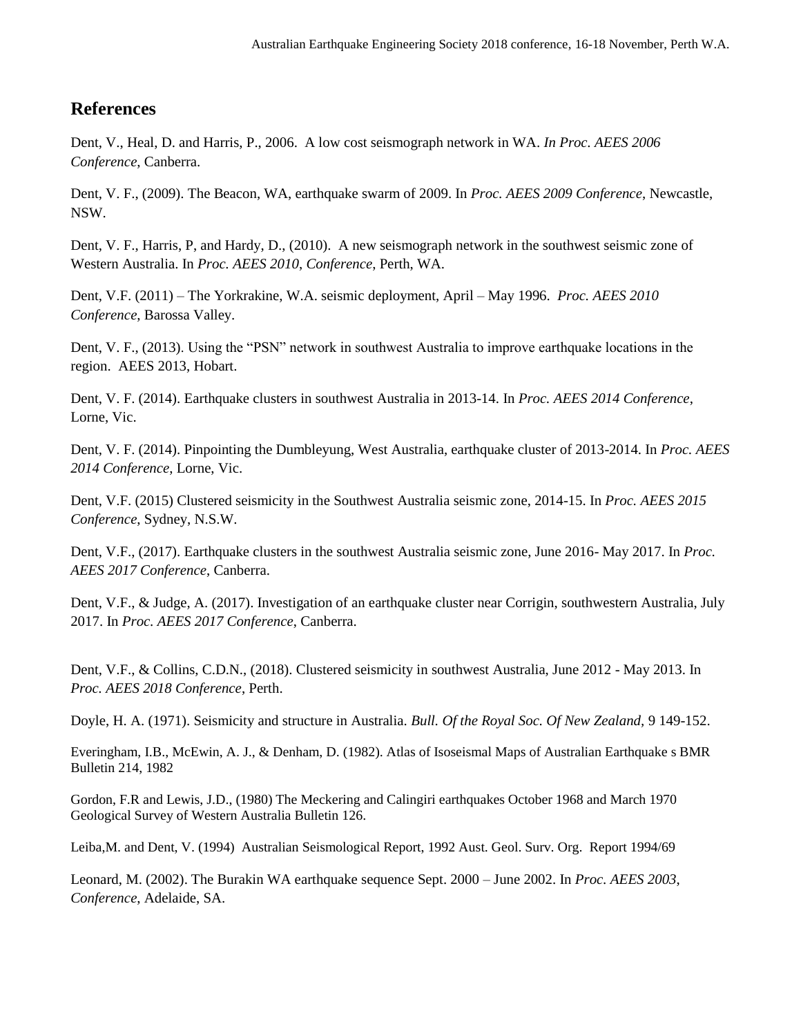# **References**

Dent, V., Heal, D. and Harris, P., 2006. A low cost seismograph network in WA. *In Proc. AEES 2006 Conference*, Canberra.

Dent, V. F., (2009). The Beacon, WA, earthquake swarm of 2009. In *Proc. AEES 2009 Conference*, Newcastle, NSW.

Dent, V. F., Harris, P, and Hardy, D., (2010). A new seismograph network in the southwest seismic zone of Western Australia. In *Proc. AEES 2010*, *Conference*, Perth, WA.

Dent, V.F. (2011) – The Yorkrakine, W.A. seismic deployment, April – May 1996. *Proc. AEES 2010 Conference*, Barossa Valley.

Dent, V. F., (2013). Using the "PSN" network in southwest Australia to improve earthquake locations in the region. AEES 2013, Hobart.

Dent, V. F. (2014). Earthquake clusters in southwest Australia in 2013-14. In *Proc. AEES 2014 Conference*, Lorne, Vic.

Dent, V. F. (2014). Pinpointing the Dumbleyung, West Australia, earthquake cluster of 2013-2014. In *Proc. AEES 2014 Conference*, Lorne, Vic.

Dent, V.F. (2015) Clustered seismicity in the Southwest Australia seismic zone, 2014-15. In *Proc. AEES 2015 Conference*, Sydney, N.S.W.

Dent, V.F., (2017). Earthquake clusters in the southwest Australia seismic zone, June 2016- May 2017. In *Proc. AEES 2017 Conference*, Canberra.

Dent, V.F., & Judge, A. (2017). Investigation of an earthquake cluster near Corrigin, southwestern Australia, July 2017. In *Proc. AEES 2017 Conference*, Canberra.

Dent, V.F., & Collins, C.D.N., (2018). Clustered seismicity in southwest Australia, June 2012 - May 2013. In *Proc. AEES 2018 Conference*, Perth.

Doyle, H. A. (1971). Seismicity and structure in Australia. *Bull. Of the Royal Soc. Of New Zealand,* 9 149-152.

Everingham, I.B., McEwin, A. J., & Denham, D. (1982). Atlas of Isoseismal Maps of Australian Earthquake s BMR Bulletin 214, 1982

Gordon, F.R and Lewis, J.D., (1980) The Meckering and Calingiri earthquakes October 1968 and March 1970 Geological Survey of Western Australia Bulletin 126.

Leiba,M. and Dent, V. (1994) Australian Seismological Report, 1992 Aust. Geol. Surv. Org. Report 1994/69

Leonard, M. (2002). The Burakin WA earthquake sequence Sept. 2000 – June 2002. In *Proc. AEES 2003*, *Conference*, Adelaide, SA.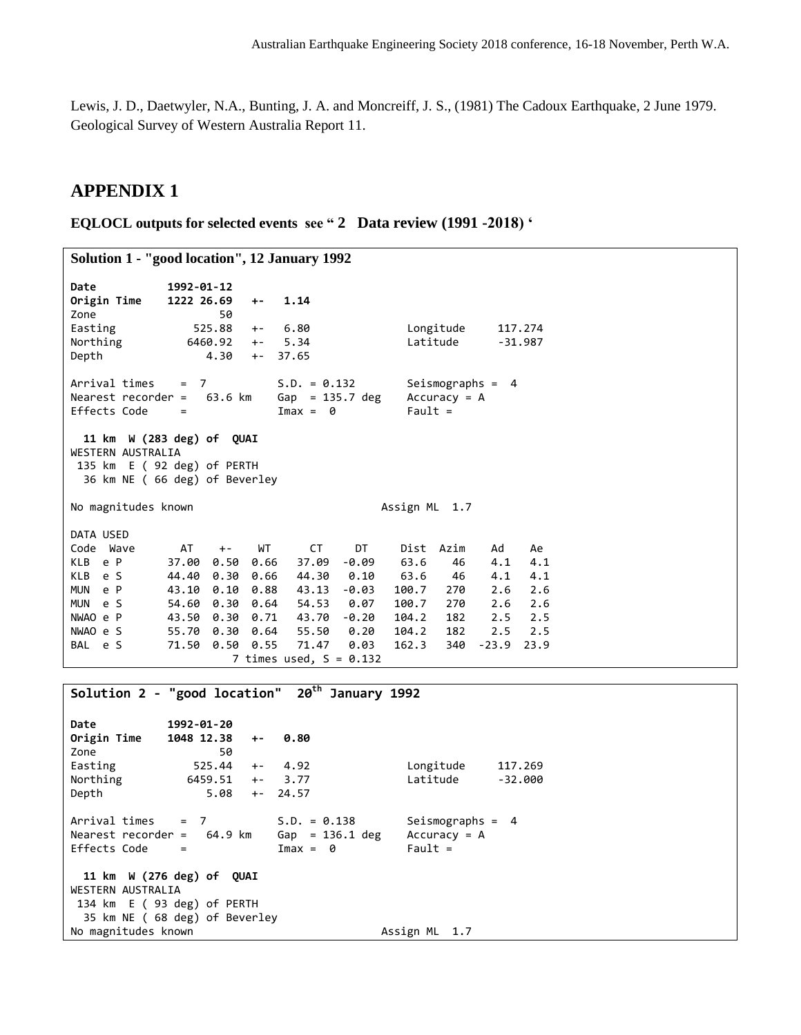Lewis, J. D., Daetwyler, N.A., Bunting, J. A. and Moncreiff, J. S., (1981) The Cadoux Earthquake, 2 June 1979. Geological Survey of Western Australia Report 11.

### **APPENDIX 1**

**EQLOCL outputs for selected events see " 2 Data review (1991 -2018) '**

```
Solution 1 - "good location", 12 January 1992
Date 1992-01-12 
Origin Time 1222 26.69 +- 1.14 
Zone 50 
Easting 525.88 +- 6.80 Longitude 117.274 
Northing 6460.92 +- 5.34 Latitude -31.987 
Depth 4.30 +- 37.65 
Arrival times = 7 S.D. = 0.132 Seismographs = 4
Nearest recorder = 63.6 km 6ap = 135.7 deg Accuracy = A<br>Effects Code = 1 \text{max} = 0 Fault =
Effects Code = 11 km W (283 deg) of QUAI
WESTERN AUSTRALIA
135 km E ( 92 deg) of PERTH
  36 km NE ( 66 deg) of Beverley
No magnitudes known and the control of the Assign ML 1.7
DATA USED
Code Wave AT +- WT CT DT Dist Azim Ad Ae
KLB e P 37.00 0.50 0.66 37.09 -0.09 63.6 46 4.1 4.1 
KLB e S 44.40 0.30 0.66 44.30 0.10 63.6 46 4.1 4.1 
MUN e P 43.10 0.10 0.88 43.13 -0.03 100.7 270 2.6 2.6 
MUN e S 54.60 0.30 0.64 54.53 0.07 100.7 270 2.6 2.6 
           43.50 0.30 0.71 43.70 -0.20 104.2 182 2.5 2.5
NWAO e S 55.70 0.30 0.64 55.50 0.20 104.2 182 2.5 2.5<br>BAL e S 71.50 0.50 0.55 71.47 0.03 162.3 340 -23.9 23.9
           71.50 0.50 0.55
                    7 times used, S = 0.132Solution 2 - "good location" 20th January 1992
Date 1992-01-20 
Origin Time 1048 12.38 +- 0.80 
Zone 50 
Easting 525.44 +- 4.92 Longitude 117.269 
Northing 6459.51 +- 3.77 Latitude -32.000 
Depth 5.08 +- 24.57 
Arrival times = 7 S.D. = 0.138 Seismographs = 4
Nearest recorder = 64.9 km Gap = 136.1 deg Accuracy = A 
Effects Code = Imax = 0 Fault =
  11 km W (276 deg) of QUAI
WESTERN AUSTRALIA
134 km E ( 93 deg) of PERTH
  35 km NE ( 68 deg) of Beverley
No magnitudes known and the control of the Assign ML 1.7
```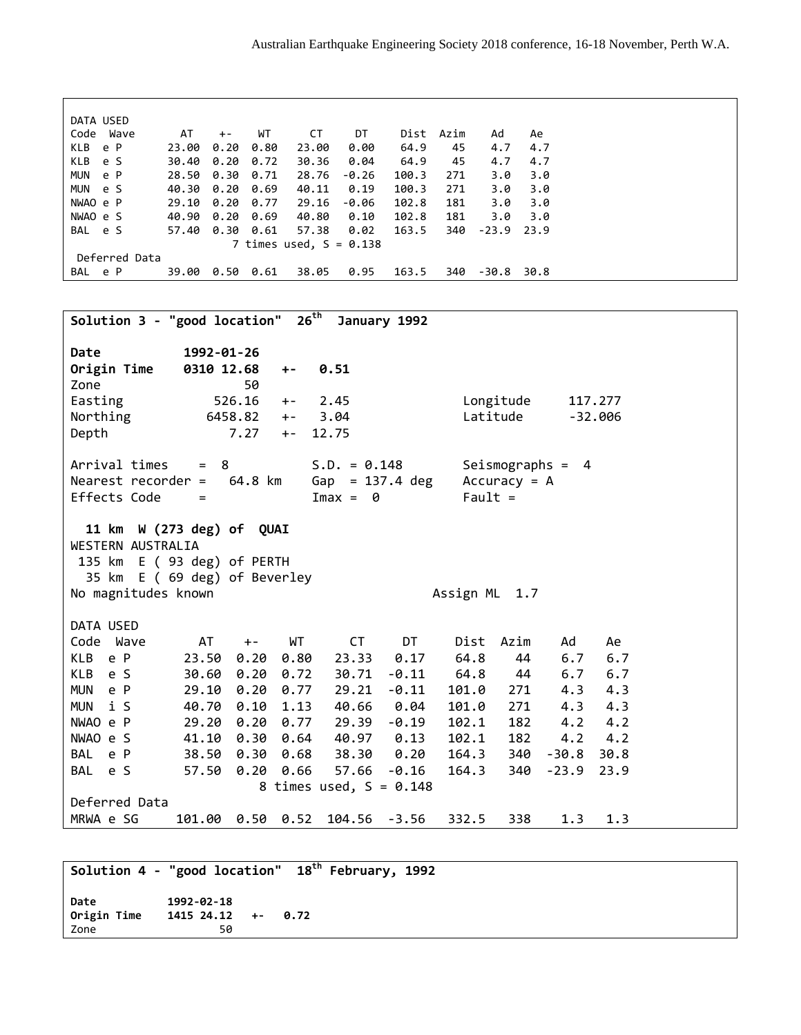| DATA USED         |       |       |      |                           |         |       |      |         |      |  |
|-------------------|-------|-------|------|---------------------------|---------|-------|------|---------|------|--|
| Code<br>Wave      | AT    | $+ -$ | WT   | СT                        | DT      | Dist  | Azim | Ad      | Ae   |  |
| KLB<br>e P        | 23.00 | 0.20  | 0.80 | 23.00                     | 0.00    | 64.9  | 45   | 4.7     | 4.7  |  |
| KLB<br>e S        | 30.40 | 0.20  | 0.72 | 30.36                     | 0.04    | 64.9  | 45   | 4.7     | 4.7  |  |
| <b>MUN</b><br>e P | 28.50 | 0.30  | 0.71 | 28.76                     | $-0.26$ | 100.3 | 271  | 3.0     | 3.0  |  |
| <b>MUN</b><br>e S | 40.30 | 0.20  | 0.69 | 40.11                     | 0.19    | 100.3 | 271  | 3.0     | 3.0  |  |
| NWAO e P          | 29.10 | 0.20  | 0.77 | 29.16                     | -0.06   | 102.8 | 181  | 3.0     | 3.0  |  |
| NWAO e S          | 40.90 | 0.20  | 0.69 | 40.80                     | 0.10    | 102.8 | 181  | 3.0     | 3.0  |  |
| BAL e S           | 57.40 | 0.30  | 0.61 | 57.38                     | 0.02    | 163.5 | 340  | $-23.9$ | 23.9 |  |
|                   |       |       |      | 7 times used, $S = 0.138$ |         |       |      |         |      |  |
| Deferred Data     |       |       |      |                           |         |       |      |         |      |  |
| BAL e P           | 39.00 | 0.50  | 0.61 | 38.05                     | 0.95    | 163.5 | 340  | $-30.8$ | 30.8 |  |
|                   |       |       |      |                           |         |       |      |         |      |  |
|                   |       |       |      |                           |         |       |      |         |      |  |

**Solution 3 - "good location" 26th January 1992 Date 1992-01-26 Origin Time 0310 12.68 +- 0.51**  Zone 50 Easting 526.16 +- 2.45 Longitude 117.277 Northing 6458.82 +- 3.04 Latitude -32.006 Depth 7.27 +- 12.75 Arrival times = 8 S.D. = 0.148 Seismographs = 4 Nearest recorder = 64.8 km Gap = 137.4 deg Accuracy = A Effects Code  $=$  Imax = 0 Fault = **11 km W (273 deg) of QUAI** WESTERN AUSTRALIA 135 km E ( 93 deg) of PERTH 35 km E ( 69 deg) of Beverley No magnitudes known and the set of the set of the set of the set of the set of the set of the set of the set o DATA USED Code Wave AT +- WT CT DT Dist Azim Ad Ae KLB e P 23.50 0.20 0.80 23.33 0.17 64.8 44 6.7 6.7 KLB e S 30.60 0.20 0.72 30.71 -0.11 64.8 44 6.7 6.7 MUN e P 29.10 0.20 0.77 29.21 -0.11 101.0 271 4.3 4.3 MUN i S 40.70 0.10 1.13 40.66 0.04 101.0 271 4.3 4.3 NWAO e P 29.20 0.20 0.77 29.39 -0.19 102.1 182 4.2 4.2 NWAO e S 41.10 0.30 0.64 40.97 0.13 102.1 182 4.2 4.2 BAL e P 38.50 0.30 0.68 38.30 0.20 164.3 340 -30.8 30.8 BAL e S 57.50 0.20 0.66 57.66 -0.16 164.3 340 -23.9 23.9 8 times used,  $S = 0.148$ Deferred Data MRWA e SG 101.00 0.50 0.52 104.56 -3.56 332.5 338 1.3 1.3

```
Solution 4 - "good location" 18th February, 1992
Date 1992-02-18 
Origin Time 1415 24.12 +- 0.72 
Zone 50
```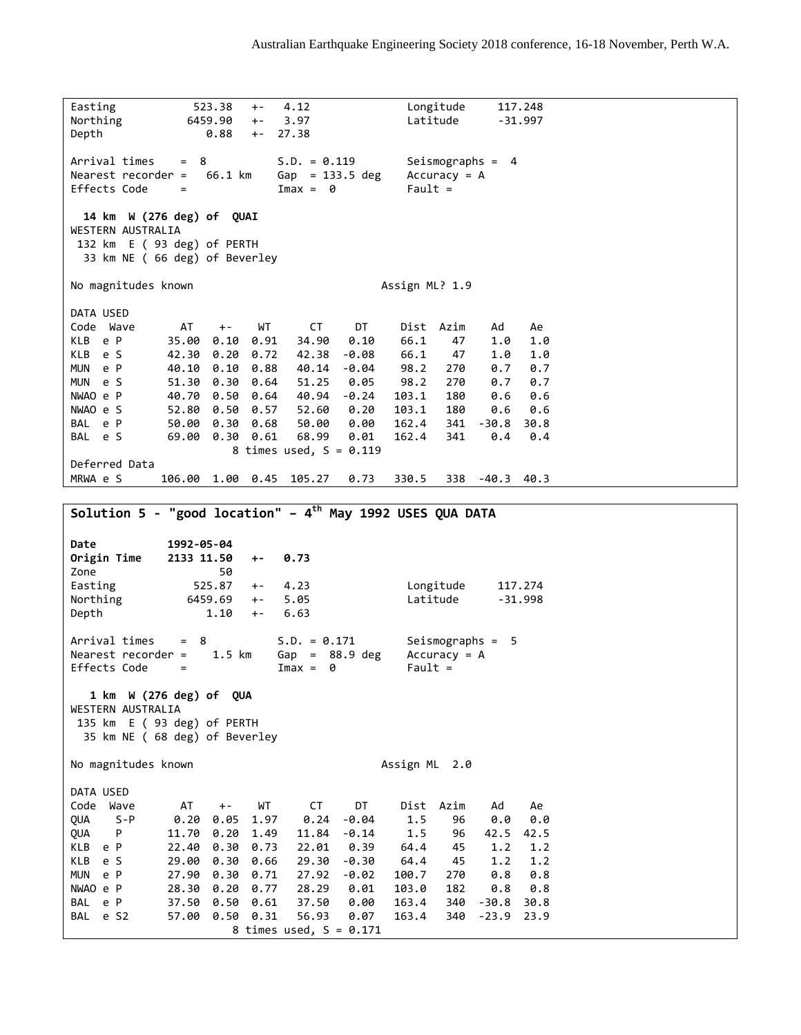Easting 523.38 +- 4.12 Longitude 117.248 Northing 6459.90 +- 3.97 Latitude -31.997 Depth 0.88 +- 27.38 Arrival times = 8 S.D. = 0.119 Seismographs = 4 Nearest recorder =  $66.1 \text{ km}$  Gap = 133.5 deg Accuracy = A Effects Code  $=$  Imax = 0 Fault = **14 km W (276 deg) of QUAI** WESTERN AUSTRALIA 132 km E ( 93 deg) of PERTH 33 km NE ( 66 deg) of Beverley No magnitudes known and the set of the Assign ML? 1.9 DATA USED Code Wave AT +- WT CT DT Dist Azim Ad Ae KLB e P 35.00 0.10 0.91 34.90 0.10 66.1 47 1.0 1.0 KLB e S 42.30 0.20 0.72 42.38 -0.08 66.1 47 1.0 1.0 MUN e P 40.10 0.10 0.88 40.14 -0.04 98.2 270 0.7 0.7 MUN e S 51.30 0.30 0.64 51.25 0.05 98.2 270 0.7 0.7 NWAO e P 40.70 0.50 0.64 40.94 -0.24 103.1 180 0.6 0.6 NWAO e S 52.80 0.50 0.57 52.60 0.20 103.1 180 0.6 0.6 BAL e P 50.00 0.30 0.68 50.00 0.00 162.4 341 -30.8 30.8 BAL e S 69.00 0.30 0.61 68.99 0.01 162.4 341 0.4 0.4 8 times used,  $S = 0.119$ Deferred Data MRWA e S 106.00 1.00 0.45 105.27 0.73 330.5 338 -40.3 40.3 **Solution 5 - "good location" – 4 th May 1992 USES QUA DATA Date 1992-05-04 Origin Time 2133 11.50 +- 0.73**  Zone 50 Easting 525.87 +- 4.23 Longitude 117.274 Northing 6459.69 +- 5.05 Latitude -31.998 Depth 1.10 +- 6.63 Arrival times = 8 S.D. = 0.171 Seismographs = 5 Nearest recorder = 1.5 km Gap = 88.9 deg Accuracy = A Effects Code  $=$  Imax = 0 Fault =  **1 km W (276 deg) of QUA**  WESTERN AUSTRALIA 135 km E ( 93 deg) of PERTH 35 km NE ( 68 deg) of Beverley No magnitudes known and the control of the Assign ML 2.0 DATA USED Code Wave AT +- WT CT DT Dist Azim Ad Ae QUA S-P 0.20 0.05 1.97 0.24 -0.04 1.5 96 0.0 0.0 QUA P 11.70 0.20 1.49 11.84 -0.14 1.5 96 42.5 42.5 22.40 0.30 0.73 22.01 0.39 64.4 45 1.2 1.2 KLB e S 29.00 0.30 0.66 29.30 -0.30 64.4 45 1.2 1.2 MUN e P 27.90 0.30 0.71 27.92 -0.02 100.7 270 0.8 0.8 NWAO e P 28.30 0.20 0.77 28.29 0.01 103.0 182 0.8 0.8 BAL e P 37.50 0.50 0.61 37.50 0.00 163.4 340 -30.8 30.8 BAL e S2 57.00 0.50 0.31 56.93 0.07 163.4 340 -23.9 23.9 8 times used,  $S = 0.171$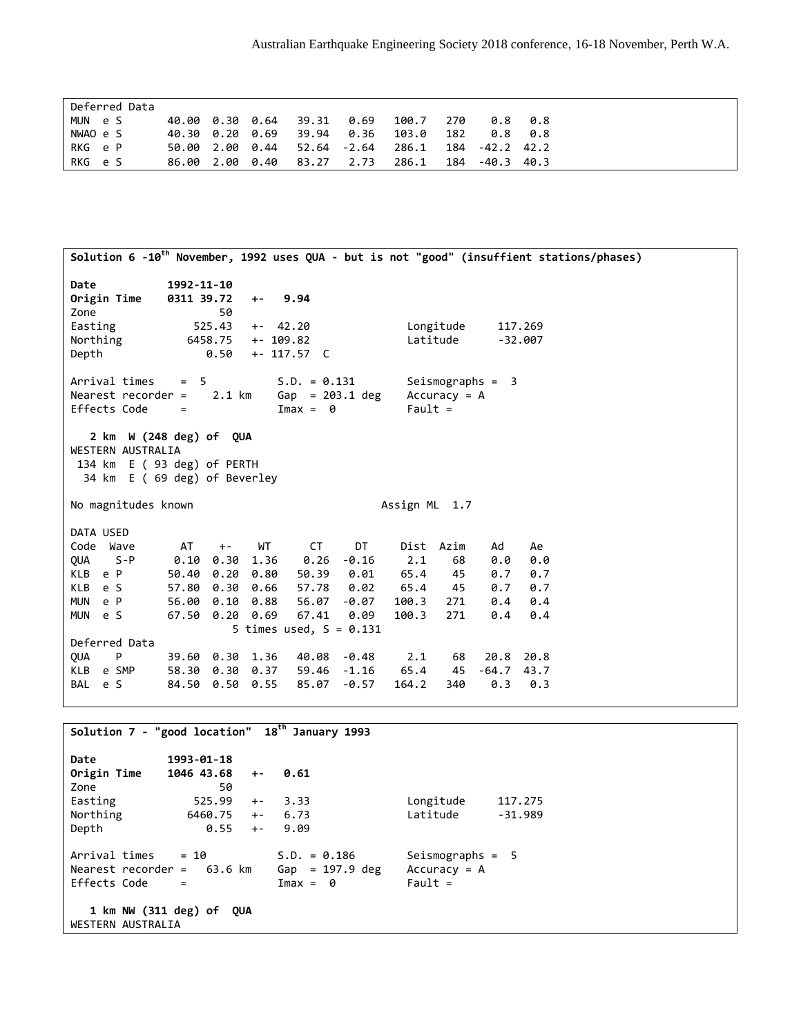| Deferred Data |                 |  |                             |      |       |     |                 |         |
|---------------|-----------------|--|-----------------------------|------|-------|-----|-----------------|---------|
| MUN e S       |                 |  | 40.00 0.30 0.64 39.31 0.69  |      | 100.7 | 270 |                 | 0.8 0.8 |
| NWAO e S      |                 |  | 40.30 0.20 0.69 39.94 0.36  |      | 103.0 | 182 |                 | 0.8 0.8 |
| RKG e P       |                 |  | 50.00 2.00 0.44 52.64 -2.64 |      | 286.1 |     | 184 - 42.2 42.2 |         |
| RKG e S       | 86.00 2.00 0.40 |  | 83.27                       | 2.73 | 286.1 | 184 | -40.3 40.3      |         |

| Solution 6 -10 <sup>th</sup> November, 1992 uses QUA - but is not "good" (insuffient stations/phases)                                                                             |                                                                                      |                                                                                |                                  |                                                                                             |                                                                                              |                                                                            |                                                 |                                                                      |                                                      |  |
|-----------------------------------------------------------------------------------------------------------------------------------------------------------------------------------|--------------------------------------------------------------------------------------|--------------------------------------------------------------------------------|----------------------------------|---------------------------------------------------------------------------------------------|----------------------------------------------------------------------------------------------|----------------------------------------------------------------------------|-------------------------------------------------|----------------------------------------------------------------------|------------------------------------------------------|--|
| Date<br>Origin Time<br>Zone<br>Easting<br>Northing<br>Depth                                                                                                                       | 1992-11-10<br>0311 39.72                                                             | 50<br>525.43<br>6458.75<br>0.50                                                | $+ -$<br>$+- 42.20$<br>+- 109.82 | 9.94<br>$+- 117.57 C$                                                                       |                                                                                              |                                                                            | Longitude<br>Latitude                           |                                                                      | 117.269<br>$-32.007$                                 |  |
| Arrival times<br>Nearest recorder = $2.1$ km<br>Effects Code                                                                                                                      | $= 5$<br>$=$                                                                         |                                                                                |                                  | $S.D. = 0.131$<br>$Gap = 203.1 deg$<br>$Imax = 0$                                           |                                                                                              | $Fault =$                                                                  | $Accuracy = A$                                  | Seismographs = $3$                                                   |                                                      |  |
| $2 \text{ km}$ W (248 deg) of QUA<br>WESTERN AUSTRALIA<br>134 km E (93 deg) of PERTH<br>34 km E ( 69 deg) of Beverley                                                             |                                                                                      |                                                                                |                                  |                                                                                             |                                                                                              |                                                                            |                                                 |                                                                      |                                                      |  |
| No magnitudes known                                                                                                                                                               |                                                                                      |                                                                                |                                  |                                                                                             |                                                                                              | Assign ML 1.7                                                              |                                                 |                                                                      |                                                      |  |
| DATA USED<br>Code Wave<br>$S - P$<br><b>OUA</b><br>KLB e P<br><b>KLB</b><br>e S<br>e P<br><b>MUN</b><br>MUN e S<br>Deferred Data<br>P<br><b>OUA</b><br>KLB<br>e SMP<br>BAL<br>e S | AT<br>0.10<br>50.40<br>57.80<br>56.00<br>67.50<br>58.30 0.30 0.37<br>84.50 0.50 0.55 | $+ -$<br>0.30<br>0.20<br>0.30 0.66<br>0.10<br>$0.20$ $0.69$<br>39.60 0.30 1.36 | WT<br>1.36<br>0.80<br>0.88       | <b>CT</b><br>0.26<br>50.39<br>57.78<br>56.07<br>67.41<br>5 times used, $S = 0.131$<br>85.07 | DT<br>$-0.16$<br>0.01<br>0.02<br>$-0.07$<br>0.09<br>40.08 -0.48<br>$59.46 - 1.16$<br>$-0.57$ | Dist Azim<br>2.1<br>65.4<br>65.4<br>100.3<br>100.3<br>2.1<br>65.4<br>164.2 | 68<br>45<br>45<br>271<br>271<br>68<br>45<br>340 | Ad<br>0.0<br>0.7<br>0.7<br>0.4<br>0.4<br>20.8 20.8<br>$-64.7$<br>0.3 | Ae<br>0.0<br>0.7<br>0.7<br>0.4<br>0.4<br>43.7<br>0.3 |  |
|                                                                                                                                                                                   |                                                                                      |                                                                                |                                  |                                                                                             |                                                                                              |                                                                            |                                                 |                                                                      |                                                      |  |

**Solution 7 - "good location" 18th January 1993 Date 1993-01-18 Origin Time 1046 43.68 +- 0.61**  Zone 50 Easting  $525.99 +- 3.33$  Longitude 117.275<br>Northing 6460.75 +- 6.73 Latitude -31.989 Northing 6460.75 +- 6.73<br>Depth 0.55 +- 9.09 Depth 0.55 +-Arrival times =  $10$  S.D. = 0.186 Seismographs = 5<br>Nearest recorder =  $63.6$  km  $6ap$  = 197.9 deg Accuracy = A Nearest recorder =  $63.6 \text{ km}$  Gap = 197.9 deg Accuracy<br>Effects Code =  $\frac{3.6 \text{ km}}{2.5 \text{ km}} = 0$  Fault = Effects Code **1 km NW (311 deg) of QUA**  WESTERN AUSTRALIA